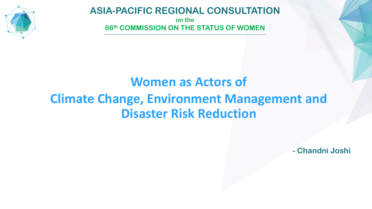

## **ASIA-PACIFIC REGIONAL CONSULTATION**

**on the 66th COMMISSION ON THE STATUS OF WOMEN**

## **Women as Actors of Climate Change, Environment Management and Disaster Risk Reduction**

**- Chandni Joshi**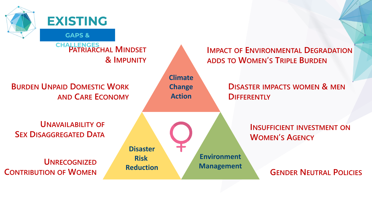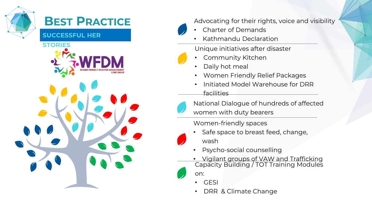

## **BEST PRACTICE**

**SUCCESSFUL HER** 





Advocating for their rights, voice and visibility

- Charter of Demands
- Kathmandu Declaration

Unique initiatives after disaster

- Community Kitchen
- Daily hot meal
- Women Friendly Relief Packages
- Initiated Model Warehouse for DRR facilities

National Dialogue of hundreds of affected

women with duty bearers

Women-friendly spaces



- Psycho-social counselling
- Vigilant groups of VAW and Trafficking Capacity Building / TOT Training Modules on:
	- GESI
	- DRR & Climate Change